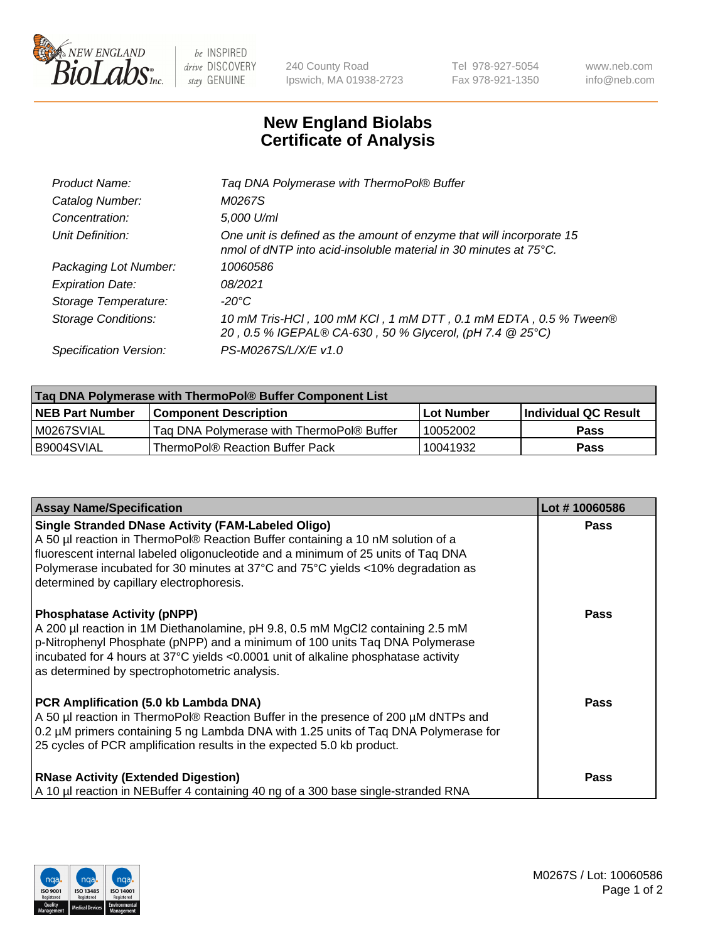

 $be$  INSPIRED drive DISCOVERY stay GENUINE

240 County Road Ipswich, MA 01938-2723 Tel 978-927-5054 Fax 978-921-1350 www.neb.com info@neb.com

## **New England Biolabs Certificate of Analysis**

| Tag DNA Polymerase with ThermoPol® Buffer                                                                                                |
|------------------------------------------------------------------------------------------------------------------------------------------|
| M0267S                                                                                                                                   |
| 5,000 U/ml                                                                                                                               |
| One unit is defined as the amount of enzyme that will incorporate 15<br>nmol of dNTP into acid-insoluble material in 30 minutes at 75°C. |
| 10060586                                                                                                                                 |
| 08/2021                                                                                                                                  |
| $-20^{\circ}$ C                                                                                                                          |
| 10 mM Tris-HCl, 100 mM KCl, 1 mM DTT, 0.1 mM EDTA, 0.5 % Tween®<br>20, 0.5 % IGEPAL® CA-630, 50 % Glycerol, (pH 7.4 @ 25°C)              |
| PS-M0267S/L/X/E v1.0                                                                                                                     |
|                                                                                                                                          |

| Taq DNA Polymerase with ThermoPol® Buffer Component List |                                           |                   |                      |  |
|----------------------------------------------------------|-------------------------------------------|-------------------|----------------------|--|
| <b>NEB Part Number</b>                                   | <b>Component Description</b>              | <b>Lot Number</b> | Individual QC Result |  |
| M0267SVIAL                                               | Tag DNA Polymerase with ThermoPol® Buffer | 10052002          | <b>Pass</b>          |  |
| I B9004SVIAL                                             | ThermoPol® Reaction Buffer Pack           | 10041932          | Pass                 |  |

| <b>Assay Name/Specification</b>                                                                                                                                                                                                                                                                                                                                  | Lot #10060586 |
|------------------------------------------------------------------------------------------------------------------------------------------------------------------------------------------------------------------------------------------------------------------------------------------------------------------------------------------------------------------|---------------|
| <b>Single Stranded DNase Activity (FAM-Labeled Oligo)</b><br>A 50 µl reaction in ThermoPol® Reaction Buffer containing a 10 nM solution of a<br>fluorescent internal labeled oligonucleotide and a minimum of 25 units of Taq DNA<br>Polymerase incubated for 30 minutes at 37°C and 75°C yields <10% degradation as<br>determined by capillary electrophoresis. | <b>Pass</b>   |
| <b>Phosphatase Activity (pNPP)</b><br>A 200 µl reaction in 1M Diethanolamine, pH 9.8, 0.5 mM MgCl2 containing 2.5 mM<br>p-Nitrophenyl Phosphate (pNPP) and a minimum of 100 units Taq DNA Polymerase<br>incubated for 4 hours at 37°C yields <0.0001 unit of alkaline phosphatase activity<br>as determined by spectrophotometric analysis.                      | Pass          |
| PCR Amplification (5.0 kb Lambda DNA)<br>A 50 µl reaction in ThermoPol® Reaction Buffer in the presence of 200 µM dNTPs and<br>0.2 µM primers containing 5 ng Lambda DNA with 1.25 units of Taq DNA Polymerase for<br>25 cycles of PCR amplification results in the expected 5.0 kb product.                                                                     | Pass          |
| <b>RNase Activity (Extended Digestion)</b><br>A 10 µl reaction in NEBuffer 4 containing 40 ng of a 300 base single-stranded RNA                                                                                                                                                                                                                                  | Pass          |